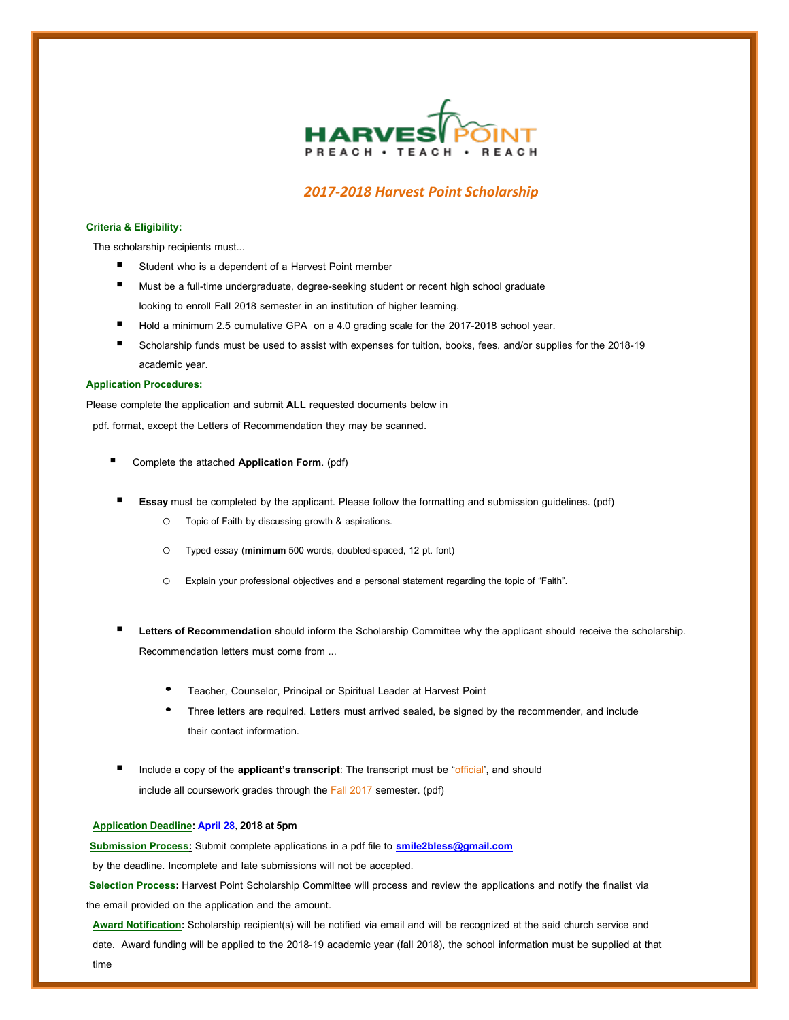

## *2017-2018 Harvest Point Scholarship*

## **Criteria & Eligibility:**

The scholarship recipients must...

- Student who is a dependent of a Harvest Point member
- Must be a full-time undergraduate, degree-seeking student or recent high school graduate looking to enroll Fall 2018 semester in an institution of higher learning.
- Hold a minimum 2.5 cumulative GPA on a 4.0 grading scale for the 2017-2018 school year.
- Scholarship funds must be used to assist with expenses for tuition, books, fees, and/or supplies for the 2018-19 academic year.

## **Application Procedures:**

Please complete the application and submit **ALL** requested documents below in

pdf. format, except the Letters of Recommendation they may be scanned.

- Complete the attached **ApplicationForm**. (pdf)
- **Essay** must be completed by the applicant. Please follow the formatting and submission guidelines. (pdf)
	- o Topic of Faith by discussing growth & aspirations.
	- o Typed essay (**minimum** 500 words, doubled-spaced, 12 pt. font)
	- o Explain your professional objectives and a personal statement regarding the topic of "Faith".
- Letters of Recommendation should inform the Scholarship Committee why the applicant should receive the scholarship. Recommendation letters must come from ...
	- Teacher, Counselor, Principal or Spiritual Leader at Harvest Point
	- Three letters are required. Letters must arrived sealed, be signed by the recommender, and include their contact information.
- Include a copy of the **applicant'stranscript**: The transcript must be "official', and should include all coursework grades through the Fall 2017 semester. (pdf)

## **Application Deadline: April 28,2018at5pm**

**Submission Process:** Submit complete applications in a pdf file to **[smile2bless@gmail.com](mailto:wgrc@uh.edu)**

by the deadline. Incomplete and late submissions will not be accepted.

**Selection Process:** Harvest Point Scholarship Committee will process and review the applications and notify the finalist via the email provided on the application and the amount.

**Award Notification:** Scholarship recipient(s) will be notified via email and will be recognized at the said church service and date. Award funding will be applied to the 2018-19 academic year (fall 2018), the school information must be supplied at that time